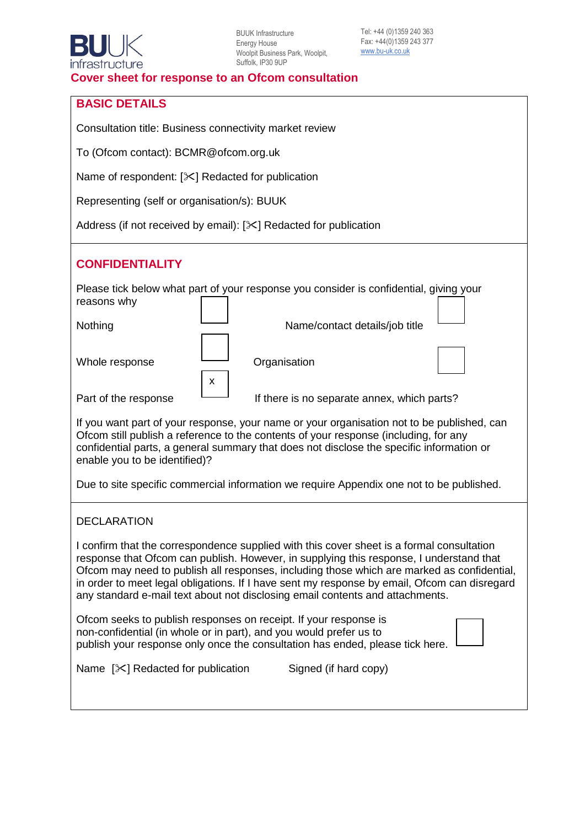### **BASIC DETAILS**

Consultation title: Business connectivity market review

To (Ofcom contact): BCMR@ofcom.org.uk

Name of respondent:  $[\times]$  Redacted for publication

Representing (self or organisation/s): BUUK

Address (if not received by email):  $[ $\times$ ] Related for publication$ 

### **CONFIDENTIALITY**

| Please tick below what part of your response you consider is confidential, giving your |   |                                             |  |  |
|----------------------------------------------------------------------------------------|---|---------------------------------------------|--|--|
| reasons why                                                                            |   |                                             |  |  |
|                                                                                        |   |                                             |  |  |
| Nothing                                                                                |   | Name/contact details/job title              |  |  |
|                                                                                        |   |                                             |  |  |
| Whole response                                                                         |   | Organisation                                |  |  |
|                                                                                        |   |                                             |  |  |
|                                                                                        | x |                                             |  |  |
| Part of the response                                                                   |   | If there is no separate annex, which parts? |  |  |

If you want part of your response, your name or your organisation not to be published, can Ofcom still publish a reference to the contents of your response (including, for any confidential parts, a general summary that does not disclose the specific information or enable you to be identified)?

Due to site specific commercial information we require Appendix one not to be published.

#### DECLARATION

I confirm that the correspondence supplied with this cover sheet is a formal consultation response that Ofcom can publish. However, in supplying this response, I understand that Ofcom may need to publish all responses, including those which are marked as confidential, in order to meet legal obligations. If I have sent my response by email, Ofcom can disregard any standard e-mail text about not disclosing email contents and attachments.

| Ofcom seeks to publish responses on receipt. If your response is              |  |
|-------------------------------------------------------------------------------|--|
| non-confidential (in whole or in part), and you would prefer us to            |  |
| publish your response only once the consultation has ended, please tick here. |  |

Name  $[\times]$  Redacted for publication Signed (if hard copy)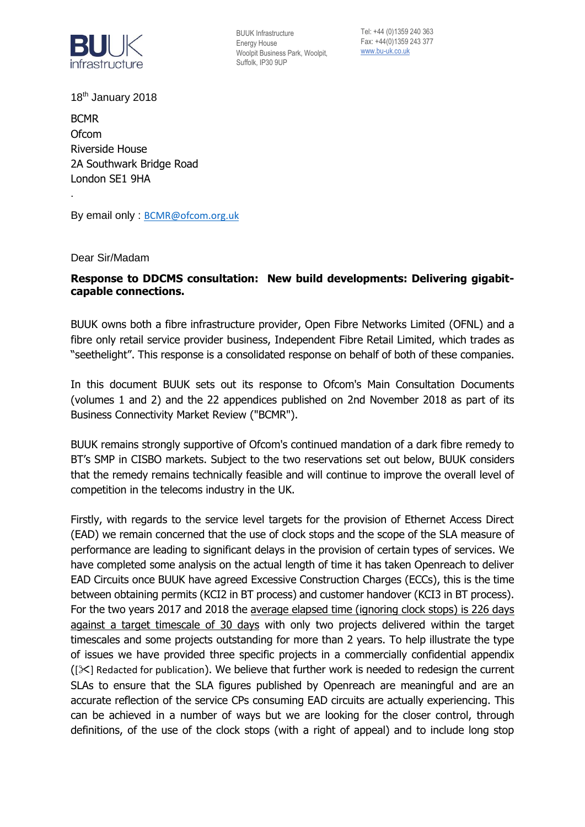

Tel: +44 (0)1359 240 363 Fax: +44(0)1359 243 377 [www.bu-uk.co.uk](http://www.bu-uk.co.uk/)

18<sup>th</sup> January 2018

BCMR **Ofcom** Riverside House 2A Southwark Bridge Road London SE1 9HA

By email only : [BCMR@ofcom.org.uk](mailto:BCMR@ofcom.org.uk)

Dear Sir/Madam

.

### **Response to DDCMS consultation: New build developments: Delivering gigabitcapable connections.**

BUUK owns both a fibre infrastructure provider, Open Fibre Networks Limited (OFNL) and a fibre only retail service provider business, Independent Fibre Retail Limited, which trades as "seethelight". This response is a consolidated response on behalf of both of these companies.

In this document BUUK sets out its response to Ofcom's Main Consultation Documents (volumes 1 and 2) and the 22 appendices published on 2nd November 2018 as part of its Business Connectivity Market Review ("BCMR").

BUUK remains strongly supportive of Ofcom's continued mandation of a dark fibre remedy to BT's SMP in CISBO markets. Subject to the two reservations set out below, BUUK considers that the remedy remains technically feasible and will continue to improve the overall level of competition in the telecoms industry in the UK.

Firstly, with regards to the service level targets for the provision of Ethernet Access Direct (EAD) we remain concerned that the use of clock stops and the scope of the SLA measure of performance are leading to significant delays in the provision of certain types of services. We have completed some analysis on the actual length of time it has taken Openreach to deliver EAD Circuits once BUUK have agreed Excessive Construction Charges (ECCs), this is the time between obtaining permits (KCI2 in BT process) and customer handover (KCI3 in BT process). For the two years 2017 and 2018 the average elapsed time (ignoring clock stops) is 226 days against a target timescale of 30 days with only two projects delivered within the target timescales and some projects outstanding for more than 2 years. To help illustrate the type of issues we have provided three specific projects in a commercially confidential appendix  $([ $\times$ ] Redacted for publication). We believe that further work is needed to redesign the current$ SLAs to ensure that the SLA figures published by Openreach are meaningful and are an accurate reflection of the service CPs consuming EAD circuits are actually experiencing. This can be achieved in a number of ways but we are looking for the closer control, through definitions, of the use of the clock stops (with a right of appeal) and to include long stop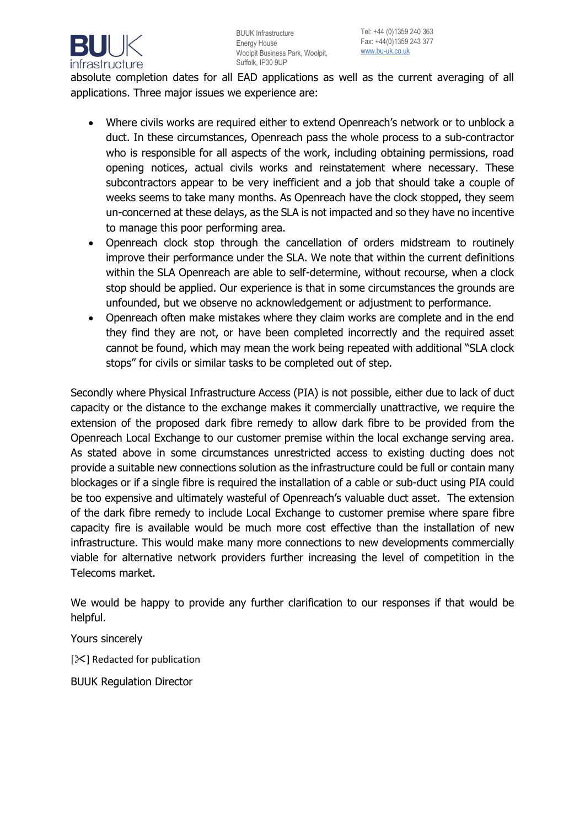

absolute completion dates for all EAD applications as well as the current averaging of all applications. Three major issues we experience are:

- Where civils works are required either to extend Openreach's network or to unblock a duct. In these circumstances, Openreach pass the whole process to a sub-contractor who is responsible for all aspects of the work, including obtaining permissions, road opening notices, actual civils works and reinstatement where necessary. These subcontractors appear to be very inefficient and a job that should take a couple of weeks seems to take many months. As Openreach have the clock stopped, they seem un-concerned at these delays, as the SLA is not impacted and so they have no incentive to manage this poor performing area.
- Openreach clock stop through the cancellation of orders midstream to routinely improve their performance under the SLA. We note that within the current definitions within the SLA Openreach are able to self-determine, without recourse, when a clock stop should be applied. Our experience is that in some circumstances the grounds are unfounded, but we observe no acknowledgement or adjustment to performance.
- Openreach often make mistakes where they claim works are complete and in the end they find they are not, or have been completed incorrectly and the required asset cannot be found, which may mean the work being repeated with additional "SLA clock stops" for civils or similar tasks to be completed out of step.

Secondly where Physical Infrastructure Access (PIA) is not possible, either due to lack of duct capacity or the distance to the exchange makes it commercially unattractive, we require the extension of the proposed dark fibre remedy to allow dark fibre to be provided from the Openreach Local Exchange to our customer premise within the local exchange serving area. As stated above in some circumstances unrestricted access to existing ducting does not provide a suitable new connections solution as the infrastructure could be full or contain many blockages or if a single fibre is required the installation of a cable or sub-duct using PIA could be too expensive and ultimately wasteful of Openreach's valuable duct asset. The extension of the dark fibre remedy to include Local Exchange to customer premise where spare fibre capacity fire is available would be much more cost effective than the installation of new infrastructure. This would make many more connections to new developments commercially viable for alternative network providers further increasing the level of competition in the Telecoms market.

We would be happy to provide any further clarification to our responses if that would be helpful.

Yours sincerely

[ $|X|$  Redacted for publication

BUUK Regulation Director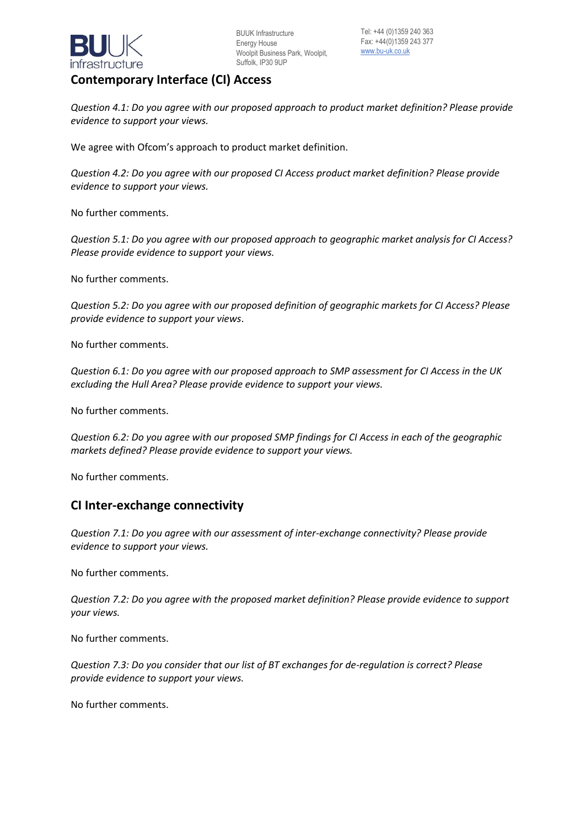

# **Contemporary Interface (CI) Access**

*Question 4.1: Do you agree with our proposed approach to product market definition? Please provide evidence to support your views.* 

We agree with Ofcom's approach to product market definition.

*Question 4.2: Do you agree with our proposed CI Access product market definition? Please provide evidence to support your views.* 

No further comments.

*Question 5.1: Do you agree with our proposed approach to geographic market analysis for CI Access? Please provide evidence to support your views.* 

No further comments.

*Question 5.2: Do you agree with our proposed definition of geographic markets for CI Access? Please provide evidence to support your views*.

No further comments.

*Question 6.1: Do you agree with our proposed approach to SMP assessment for CI Access in the UK excluding the Hull Area? Please provide evidence to support your views.* 

No further comments.

*Question 6.2: Do you agree with our proposed SMP findings for CI Access in each of the geographic markets defined? Please provide evidence to support your views.* 

No further comments.

### **CI Inter-exchange connectivity**

*Question 7.1: Do you agree with our assessment of inter-exchange connectivity? Please provide evidence to support your views.* 

No further comments.

*Question 7.2: Do you agree with the proposed market definition? Please provide evidence to support your views.* 

No further comments.

*Question 7.3: Do you consider that our list of BT exchanges for de-regulation is correct? Please provide evidence to support your views.* 

No further comments.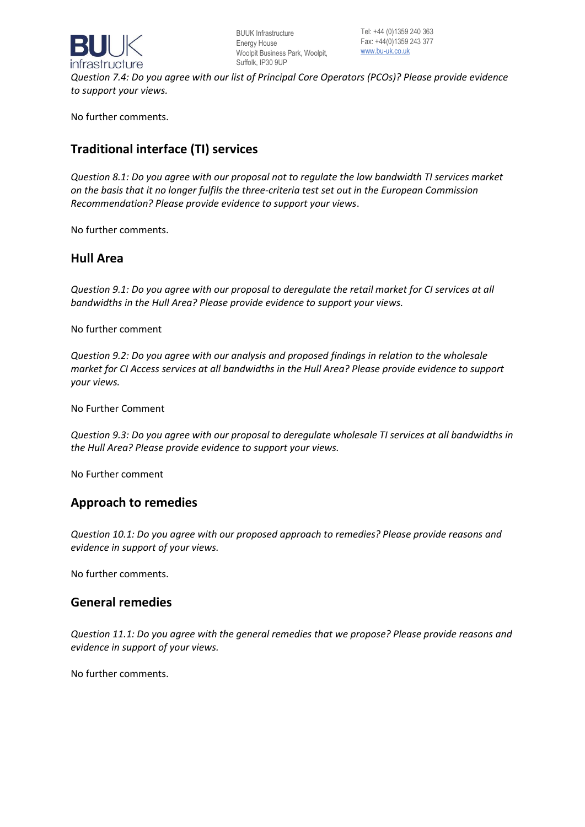

*Question 7.4: Do you agree with our list of Principal Core Operators (PCOs)? Please provide evidence to support your views.* 

No further comments.

# **Traditional interface (TI) services**

*Question 8.1: Do you agree with our proposal not to regulate the low bandwidth TI services market on the basis that it no longer fulfils the three-criteria test set out in the European Commission Recommendation? Please provide evidence to support your views*.

No further comments.

### **Hull Area**

*Question 9.1: Do you agree with our proposal to deregulate the retail market for CI services at all bandwidths in the Hull Area? Please provide evidence to support your views.* 

No further comment

*Question 9.2: Do you agree with our analysis and proposed findings in relation to the wholesale market for CI Access services at all bandwidths in the Hull Area? Please provide evidence to support your views.* 

No Further Comment

*Question 9.3: Do you agree with our proposal to deregulate wholesale TI services at all bandwidths in the Hull Area? Please provide evidence to support your views.*

No Further comment

### **Approach to remedies**

*Question 10.1: Do you agree with our proposed approach to remedies? Please provide reasons and evidence in support of your views.* 

No further comments.

### **General remedies**

*Question 11.1: Do you agree with the general remedies that we propose? Please provide reasons and evidence in support of your views.* 

No further comments.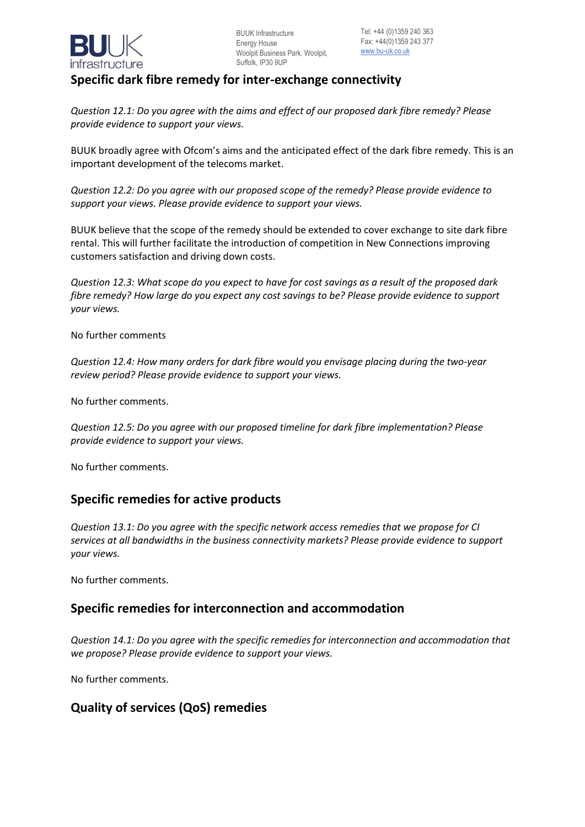

# **Specific dark fibre remedy for inter-exchange connectivity**

*Question 12.1: Do you agree with the aims and effect of our proposed dark fibre remedy? Please provide evidence to support your views.* 

BUUK broadly agree with Ofcom's aims and the anticipated effect of the dark fibre remedy. This is an important development of the telecoms market.

*Question 12.2: Do you agree with our proposed scope of the remedy? Please provide evidence to support your views. Please provide evidence to support your views.* 

BUUK believe that the scope of the remedy should be extended to cover exchange to site dark fibre rental. This will further facilitate the introduction of competition in New Connections improving customers satisfaction and driving down costs.

*Question 12.3: What scope do you expect to have for cost savings as a result of the proposed dark fibre remedy? How large do you expect any cost savings to be? Please provide evidence to support your views.* 

No further comments

*Question 12.4: How many orders for dark fibre would you envisage placing during the two-year review period? Please provide evidence to support your views.* 

No further comments.

*Question 12.5: Do you agree with our proposed timeline for dark fibre implementation? Please provide evidence to support your views.*

No further comments.

### **Specific remedies for active products**

*Question 13.1: Do you agree with the specific network access remedies that we propose for CI services at all bandwidths in the business connectivity markets? Please provide evidence to support your views.* 

No further comments.

### **Specific remedies for interconnection and accommodation**

*Question 14.1: Do you agree with the specific remedies for interconnection and accommodation that we propose? Please provide evidence to support your views.* 

No further comments.

### **Quality of services (QoS) remedies**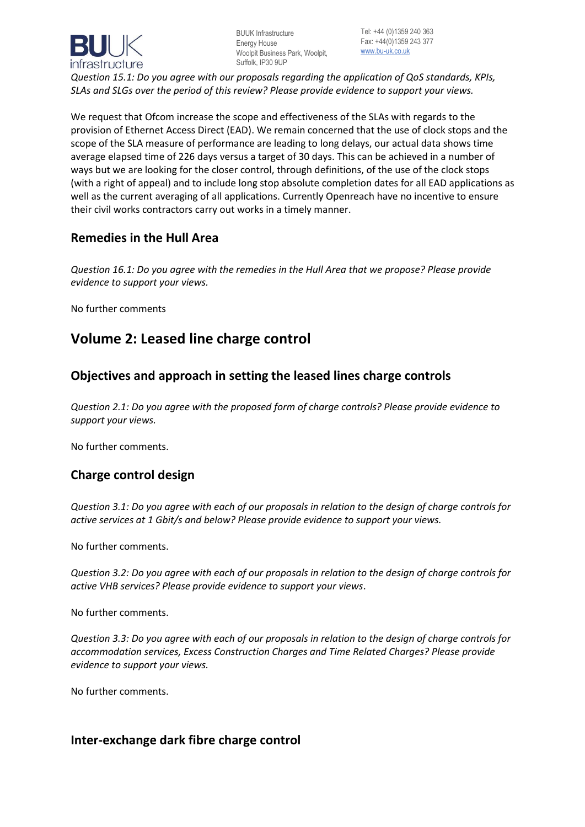

Tel: +44 (0)1359 240 363 Fax: +44(0)1359 243 377 [www.bu-uk.co.uk](http://www.bu-uk.co.uk/)

*Question 15.1: Do you agree with our proposals regarding the application of QoS standards, KPIs, SLAs and SLGs over the period of this review? Please provide evidence to support your views.* 

We request that Ofcom increase the scope and effectiveness of the SLAs with regards to the provision of Ethernet Access Direct (EAD). We remain concerned that the use of clock stops and the scope of the SLA measure of performance are leading to long delays, our actual data shows time average elapsed time of 226 days versus a target of 30 days. This can be achieved in a number of ways but we are looking for the closer control, through definitions, of the use of the clock stops (with a right of appeal) and to include long stop absolute completion dates for all EAD applications as well as the current averaging of all applications. Currently Openreach have no incentive to ensure their civil works contractors carry out works in a timely manner.

### **Remedies in the Hull Area**

*Question 16.1: Do you agree with the remedies in the Hull Area that we propose? Please provide evidence to support your views.* 

No further comments

# **Volume 2: Leased line charge control**

# **Objectives and approach in setting the leased lines charge controls**

*Question 2.1: Do you agree with the proposed form of charge controls? Please provide evidence to support your views.* 

No further comments.

### **Charge control design**

*Question 3.1: Do you agree with each of our proposals in relation to the design of charge controls for active services at 1 Gbit/s and below? Please provide evidence to support your views.* 

No further comments.

*Question 3.2: Do you agree with each of our proposals in relation to the design of charge controls for active VHB services? Please provide evidence to support your views*.

No further comments.

*Question 3.3: Do you agree with each of our proposals in relation to the design of charge controls for accommodation services, Excess Construction Charges and Time Related Charges? Please provide evidence to support your views.*

No further comments.

### **Inter-exchange dark fibre charge control**